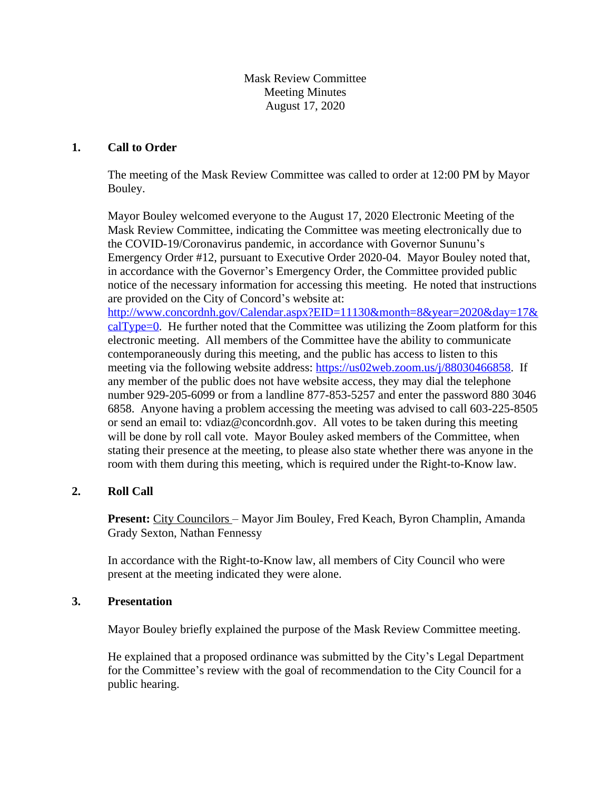Mask Review Committee Meeting Minutes August 17, 2020

## **1. Call to Order**

The meeting of the Mask Review Committee was called to order at 12:00 PM by Mayor Bouley.

Mayor Bouley welcomed everyone to the August 17, 2020 Electronic Meeting of the Mask Review Committee, indicating the Committee was meeting electronically due to the COVID-19/Coronavirus pandemic, in accordance with Governor Sununu's Emergency Order #12, pursuant to Executive Order 2020-04. Mayor Bouley noted that, in accordance with the Governor's Emergency Order, the Committee provided public notice of the necessary information for accessing this meeting. He noted that instructions are provided on the City of Concord's website at: http://www.concordnh.gov/Calendar.aspx?EID=11130&month=8&year=2020&day=17&

 $calType=0$ . He further noted that the Committee was utilizing the Zoom platform for this electronic meeting. All members of the Committee have the ability to communicate contemporaneously during this meeting, and the public has access to listen to this meeting via the following website address: [https://us02web.zoom.us/j/88030466858.](https://us02web.zoom.us/j/88030466858) If any member of the public does not have website access, they may dial the telephone number 929-205-6099 or from a landline 877-853-5257 and enter the password 880 3046 6858. Anyone having a problem accessing the meeting was advised to call 603-225-8505 or send an email to: vdiaz@concordnh.gov. All votes to be taken during this meeting will be done by roll call vote. Mayor Bouley asked members of the Committee, when stating their presence at the meeting, to please also state whether there was anyone in the room with them during this meeting, which is required under the Right-to-Know law.

## **2. Roll Call**

**Present:** City Councilors – Mayor Jim Bouley, Fred Keach, Byron Champlin, Amanda Grady Sexton, Nathan Fennessy

In accordance with the Right-to-Know law, all members of City Council who were present at the meeting indicated they were alone.

## **3. Presentation**

Mayor Bouley briefly explained the purpose of the Mask Review Committee meeting.

He explained that a proposed ordinance was submitted by the City's Legal Department for the Committee's review with the goal of recommendation to the City Council for a public hearing.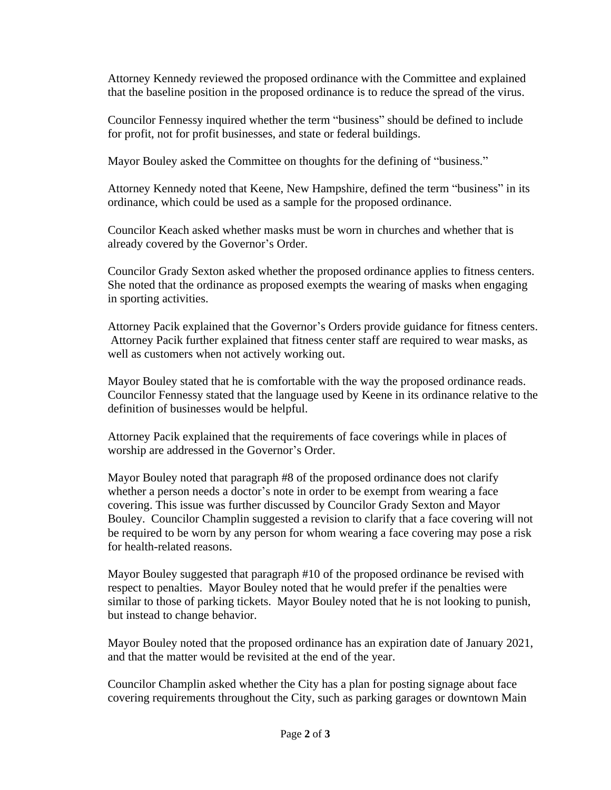Attorney Kennedy reviewed the proposed ordinance with the Committee and explained that the baseline position in the proposed ordinance is to reduce the spread of the virus.

Councilor Fennessy inquired whether the term "business" should be defined to include for profit, not for profit businesses, and state or federal buildings.

Mayor Bouley asked the Committee on thoughts for the defining of "business."

Attorney Kennedy noted that Keene, New Hampshire, defined the term "business" in its ordinance, which could be used as a sample for the proposed ordinance.

Councilor Keach asked whether masks must be worn in churches and whether that is already covered by the Governor's Order.

Councilor Grady Sexton asked whether the proposed ordinance applies to fitness centers. She noted that the ordinance as proposed exempts the wearing of masks when engaging in sporting activities.

Attorney Pacik explained that the Governor's Orders provide guidance for fitness centers. Attorney Pacik further explained that fitness center staff are required to wear masks, as well as customers when not actively working out.

Mayor Bouley stated that he is comfortable with the way the proposed ordinance reads. Councilor Fennessy stated that the language used by Keene in its ordinance relative to the definition of businesses would be helpful.

Attorney Pacik explained that the requirements of face coverings while in places of worship are addressed in the Governor's Order.

Mayor Bouley noted that paragraph #8 of the proposed ordinance does not clarify whether a person needs a doctor's note in order to be exempt from wearing a face covering. This issue was further discussed by Councilor Grady Sexton and Mayor Bouley. Councilor Champlin suggested a revision to clarify that a face covering will not be required to be worn by any person for whom wearing a face covering may pose a risk for health-related reasons.

Mayor Bouley suggested that paragraph #10 of the proposed ordinance be revised with respect to penalties. Mayor Bouley noted that he would prefer if the penalties were similar to those of parking tickets. Mayor Bouley noted that he is not looking to punish, but instead to change behavior.

Mayor Bouley noted that the proposed ordinance has an expiration date of January 2021, and that the matter would be revisited at the end of the year.

Councilor Champlin asked whether the City has a plan for posting signage about face covering requirements throughout the City, such as parking garages or downtown Main